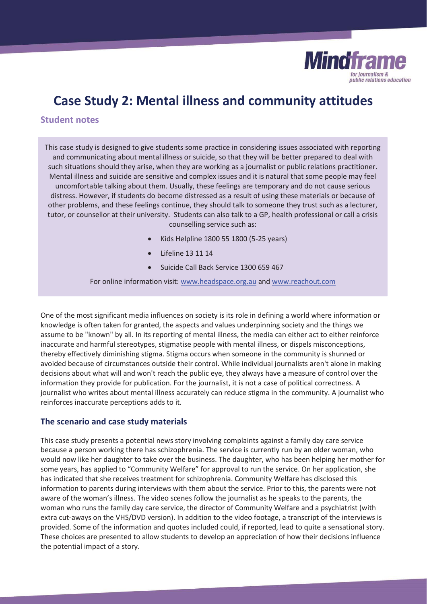

# **Case Study 2: Mental illness and community attitudes**

## **Student notes**

This case study is designed to give students some practice in considering issues associated with reporting and communicating about mental illness or suicide, so that they will be better prepared to deal with such situations should they arise, when they are working as a journalist or public relations practitioner. Mental illness and suicide are sensitive and complex issues and it is natural that some people may feel uncomfortable talking about them. Usually, these feelings are temporary and do not cause serious distress. However, if students do become distressed as a result of using these materials or because of other problems, and these feelings continue, they should talk to someone they trust such as a lecturer, tutor, or counsellor at their university. Students can also talk to a GP, health professional or call a crisis counselling service such as:

- x Kids Helpline 1800 55 1800 (5-25 years)
- Lifeline 13 11 14
- Suicide Call Back Service 1300 659 467

For online information visit: www.headspace.org.au and www.reachout.com

One of the most significant media influences on society is its role in defining a world where information or knowledge is often taken for granted, the aspects and values underpinning society and the things we assume to be "known" by all. In its reporting of mental illness, the media can either act to either reinforce inaccurate and harmful stereotypes, stigmatise people with mental illness, or dispels misconceptions, thereby effectively diminishing stigma. Stigma occurs when someone in the community is shunned or avoided because of circumstances outside their control. While individual journalists aren't alone in making decisions about what will and won't reach the public eye, they always have a measure of control over the information they provide for publication. For the journalist, it is not a case of political correctness. A journalist who writes about mental illness accurately can reduce stigma in the community. A journalist who reinforces inaccurate perceptions adds to it.

#### **The scenario and case study materials**

This case study presents a potential news story involving complaints against a family day care service because a person working there has schizophrenia. The service is currently run by an older woman, who would now like her daughter to take over the business. The daughter, who has been helping her mother for some years, has applied to "Community Welfare" for approval to run the service. On her application, she has indicated that she receives treatment for schizophrenia. Community Welfare has disclosed this information to parents during interviews with them about the service. Prior to this, the parents were not aware of the woman's illness. The video scenes follow the journalist as he speaks to the parents, the woman who runs the family day care service, the director of Community Welfare and a psychiatrist (with extra cut-aways on the VHS/DVD version). In addition to the video footage, a transcript of the interviews is provided. Some of the information and quotes included could, if reported, lead to quite a sensational story. These choices are presented to allow students to develop an appreciation of how their decisions influence the potential impact of a story.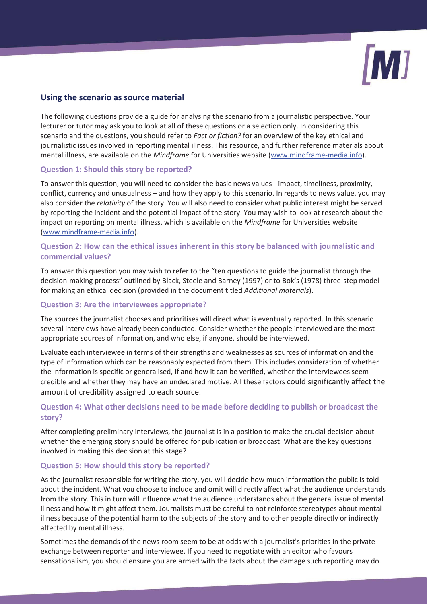

## **Using the scenario as source material**

The following questions provide a guide for analysing the scenario from a journalistic perspective. Your lecturer or tutor may ask you to look at all of these questions or a selection only. In considering this scenario and the questions, you should refer to *Fact or fiction?* for an overview of the key ethical and journalistic issues involved in reporting mental illness. This resource, and further reference materials about mental illness, are available on the *Mindframe* for Universities website (www.mindframe-media.info).

#### **Question 1: Should this story be reported?**

To answer this question, you will need to consider the basic news values - impact, timeliness, proximity, conflict, currency and unusualness – and how they apply to this scenario. In regards to news value, you may also consider the *relativity* of the story. You will also need to consider what public interest might be served by reporting the incident and the potential impact of the story. You may wish to look at research about the impact on reporting on mental illness, which is available on the *Mindframe* for Universities website (www.mindframe-media.info).

## **Question 2: How can the ethical issues inherent in this story be balanced with journalistic and commercial values?**

To answer this question you may wish to refer to the "ten questions to guide the journalist through the decision-making process" outlined by Black, Steele and Barney (1997) or to Bok's (1978) three-step model for making an ethical decision (provided in the document titled *Additional materials*).

#### **Question 3: Are the interviewees appropriate?**

The sources the journalist chooses and prioritises will direct what is eventually reported. In this scenario several interviews have already been conducted. Consider whether the people interviewed are the most appropriate sources of information, and who else, if anyone, should be interviewed.

Evaluate each interviewee in terms of their strengths and weaknesses as sources of information and the type of information which can be reasonably expected from them. This includes consideration of whether the information is specific or generalised, if and how it can be verified, whether the interviewees seem credible and whether they may have an undeclared motive. All these factors could significantly affect the amount of credibility assigned to each source.

## **Question 4: What other decisions need to be made before deciding to publish or broadcast the story?**

After completing preliminary interviews, the journalist is in a position to make the crucial decision about whether the emerging story should be offered for publication or broadcast. What are the key questions involved in making this decision at this stage?

#### **Question 5: How should this story be reported?**

As the journalist responsible for writing the story, you will decide how much information the public is told about the incident. What you choose to include and omit will directly affect what the audience understands from the story. This in turn will influence what the audience understands about the general issue of mental illness and how it might affect them. Journalists must be careful to not reinforce stereotypes about mental illness because of the potential harm to the subjects of the story and to other people directly or indirectly affected by mental illness.

Sometimes the demands of the news room seem to be at odds with a journalist's priorities in the private exchange between reporter and interviewee. If you need to negotiate with an editor who favours sensationalism, you should ensure you are armed with the facts about the damage such reporting may do.